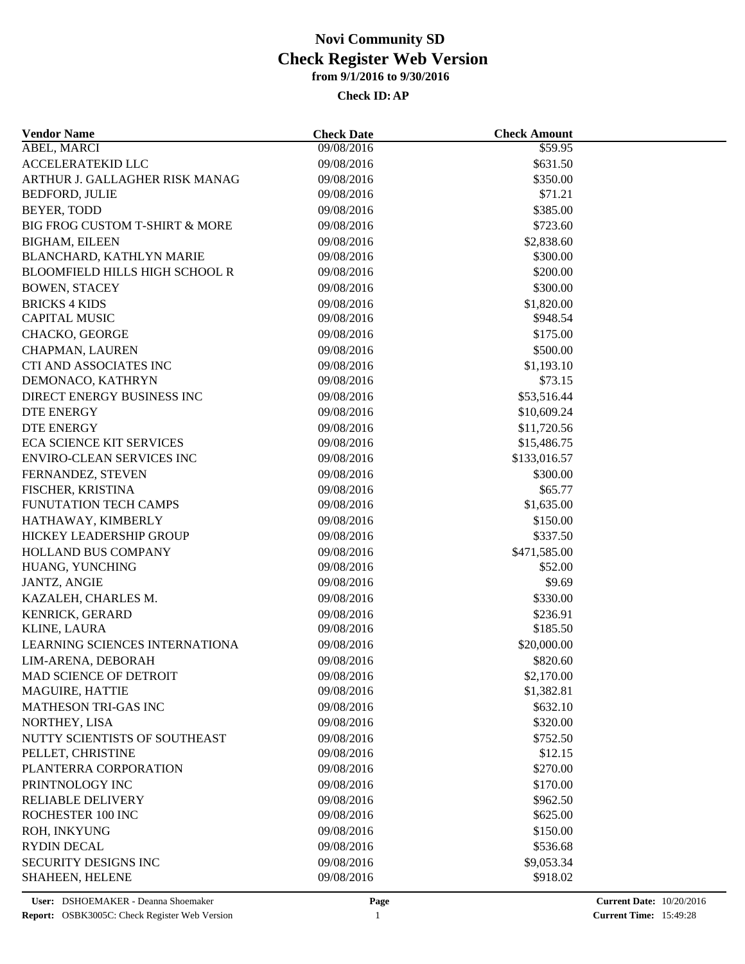| <b>Vendor Name</b>                    | <b>Check Date</b> | <b>Check Amount</b> |  |
|---------------------------------------|-------------------|---------------------|--|
| ABEL, MARCI                           | 09/08/2016        | \$59.95             |  |
| ACCELERATEKID LLC                     | 09/08/2016        | \$631.50            |  |
| ARTHUR J. GALLAGHER RISK MANAG        | 09/08/2016        | \$350.00            |  |
| <b>BEDFORD, JULIE</b>                 | 09/08/2016        | \$71.21             |  |
| BEYER, TODD                           | 09/08/2016        | \$385.00            |  |
| BIG FROG CUSTOM T-SHIRT & MORE        | 09/08/2016        | \$723.60            |  |
| <b>BIGHAM, EILEEN</b>                 | 09/08/2016        | \$2,838.60          |  |
| BLANCHARD, KATHLYN MARIE              | 09/08/2016        | \$300.00            |  |
| <b>BLOOMFIELD HILLS HIGH SCHOOL R</b> | 09/08/2016        | \$200.00            |  |
| <b>BOWEN, STACEY</b>                  | 09/08/2016        | \$300.00            |  |
| <b>BRICKS 4 KIDS</b>                  | 09/08/2016        | \$1,820.00          |  |
| <b>CAPITAL MUSIC</b>                  | 09/08/2016        | \$948.54            |  |
| CHACKO, GEORGE                        | 09/08/2016        | \$175.00            |  |
| CHAPMAN, LAUREN                       | 09/08/2016        | \$500.00            |  |
| CTI AND ASSOCIATES INC                | 09/08/2016        | \$1,193.10          |  |
| DEMONACO, KATHRYN                     | 09/08/2016        | \$73.15             |  |
| DIRECT ENERGY BUSINESS INC            | 09/08/2016        | \$53,516.44         |  |
| DTE ENERGY                            | 09/08/2016        | \$10,609.24         |  |
| <b>DTE ENERGY</b>                     | 09/08/2016        | \$11,720.56         |  |
| <b>ECA SCIENCE KIT SERVICES</b>       | 09/08/2016        | \$15,486.75         |  |
| ENVIRO-CLEAN SERVICES INC             | 09/08/2016        | \$133,016.57        |  |
| FERNANDEZ, STEVEN                     | 09/08/2016        | \$300.00            |  |
| FISCHER, KRISTINA                     | 09/08/2016        | \$65.77             |  |
| FUNUTATION TECH CAMPS                 | 09/08/2016        | \$1,635.00          |  |
| HATHAWAY, KIMBERLY                    | 09/08/2016        | \$150.00            |  |
| HICKEY LEADERSHIP GROUP               | 09/08/2016        | \$337.50            |  |
| HOLLAND BUS COMPANY                   | 09/08/2016        | \$471,585.00        |  |
| HUANG, YUNCHING                       | 09/08/2016        | \$52.00             |  |
| <b>JANTZ, ANGIE</b>                   | 09/08/2016        | \$9.69              |  |
| KAZALEH, CHARLES M.                   | 09/08/2016        | \$330.00            |  |
| KENRICK, GERARD                       | 09/08/2016        | \$236.91            |  |
| <b>KLINE, LAURA</b>                   | 09/08/2016        | \$185.50            |  |
| LEARNING SCIENCES INTERNATIONA        | 09/08/2016        | \$20,000.00         |  |
| LIM-ARENA, DEBORAH                    | 09/08/2016        | \$820.60            |  |
| MAD SCIENCE OF DETROIT                | 09/08/2016        | \$2,170.00          |  |
| MAGUIRE, HATTIE                       | 09/08/2016        | \$1,382.81          |  |
| MATHESON TRI-GAS INC                  | 09/08/2016        | \$632.10            |  |
| NORTHEY, LISA                         | 09/08/2016        | \$320.00            |  |
| NUTTY SCIENTISTS OF SOUTHEAST         | 09/08/2016        |                     |  |
| PELLET, CHRISTINE                     | 09/08/2016        | \$752.50<br>\$12.15 |  |
| PLANTERRA CORPORATION                 | 09/08/2016        | \$270.00            |  |
| PRINTNOLOGY INC                       | 09/08/2016        | \$170.00            |  |
| RELIABLE DELIVERY                     |                   |                     |  |
| ROCHESTER 100 INC                     | 09/08/2016        | \$962.50            |  |
|                                       | 09/08/2016        | \$625.00            |  |
| ROH, INKYUNG                          | 09/08/2016        | \$150.00            |  |
| <b>RYDIN DECAL</b>                    | 09/08/2016        | \$536.68            |  |
| SECURITY DESIGNS INC                  | 09/08/2016        | \$9,053.34          |  |
| SHAHEEN, HELENE                       | 09/08/2016        | \$918.02            |  |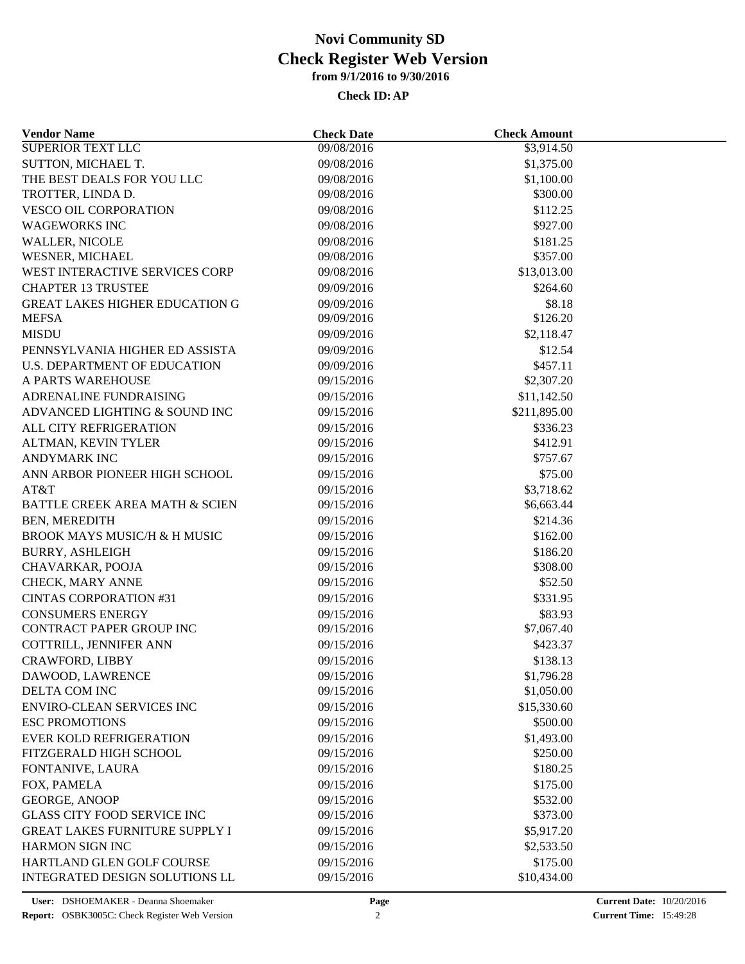| <b>Vendor Name</b>                      | <b>Check Date</b> | <b>Check Amount</b> |  |
|-----------------------------------------|-------------------|---------------------|--|
| SUPERIOR TEXT LLC                       | 09/08/2016        | \$3,914.50          |  |
| SUTTON, MICHAEL T.                      | 09/08/2016        | \$1,375.00          |  |
| THE BEST DEALS FOR YOU LLC              | 09/08/2016        | \$1,100.00          |  |
| TROTTER, LINDA D.                       | 09/08/2016        | \$300.00            |  |
| <b>VESCO OIL CORPORATION</b>            | 09/08/2016        | \$112.25            |  |
| <b>WAGEWORKS INC</b>                    | 09/08/2016        | \$927.00            |  |
| <b>WALLER, NICOLE</b>                   | 09/08/2016        | \$181.25            |  |
| WESNER, MICHAEL                         | 09/08/2016        | \$357.00            |  |
| WEST INTERACTIVE SERVICES CORP          | 09/08/2016        | \$13,013.00         |  |
| <b>CHAPTER 13 TRUSTEE</b>               | 09/09/2016        | \$264.60            |  |
| <b>GREAT LAKES HIGHER EDUCATION G</b>   | 09/09/2016        | \$8.18              |  |
| <b>MEFSA</b>                            | 09/09/2016        | \$126.20            |  |
| <b>MISDU</b>                            | 09/09/2016        | \$2,118.47          |  |
| PENNSYLVANIA HIGHER ED ASSISTA          | 09/09/2016        | \$12.54             |  |
| <b>U.S. DEPARTMENT OF EDUCATION</b>     | 09/09/2016        | \$457.11            |  |
| A PARTS WAREHOUSE                       | 09/15/2016        | \$2,307.20          |  |
| ADRENALINE FUNDRAISING                  | 09/15/2016        | \$11,142.50         |  |
| ADVANCED LIGHTING & SOUND INC           | 09/15/2016        | \$211,895.00        |  |
| ALL CITY REFRIGERATION                  | 09/15/2016        | \$336.23            |  |
| ALTMAN, KEVIN TYLER                     | 09/15/2016        | \$412.91            |  |
| <b>ANDYMARK INC</b>                     | 09/15/2016        | \$757.67            |  |
| ANN ARBOR PIONEER HIGH SCHOOL           | 09/15/2016        | \$75.00             |  |
| AT&T                                    | 09/15/2016        | \$3,718.62          |  |
| BATTLE CREEK AREA MATH & SCIEN          | 09/15/2016        | \$6,663.44          |  |
| BEN, MEREDITH                           | 09/15/2016        | \$214.36            |  |
| <b>BROOK MAYS MUSIC/H &amp; H MUSIC</b> | 09/15/2016        | \$162.00            |  |
| <b>BURRY, ASHLEIGH</b>                  | 09/15/2016        | \$186.20            |  |
| CHAVARKAR, POOJA                        | 09/15/2016        | \$308.00            |  |
| CHECK, MARY ANNE                        | 09/15/2016        | \$52.50             |  |
| <b>CINTAS CORPORATION #31</b>           | 09/15/2016        | \$331.95            |  |
| <b>CONSUMERS ENERGY</b>                 | 09/15/2016        | \$83.93             |  |
| CONTRACT PAPER GROUP INC                | 09/15/2016        | \$7,067.40          |  |
| COTTRILL, JENNIFER ANN                  | 09/15/2016        | \$423.37            |  |
| <b>CRAWFORD, LIBBY</b>                  | 09/15/2016        | \$138.13            |  |
| DAWOOD, LAWRENCE                        | 09/15/2016        | \$1,796.28          |  |
| DELTA COM INC                           | 09/15/2016        | \$1,050.00          |  |
| <b>ENVIRO-CLEAN SERVICES INC</b>        | 09/15/2016        | \$15,330.60         |  |
| <b>ESC PROMOTIONS</b>                   | 09/15/2016        | \$500.00            |  |
| <b>EVER KOLD REFRIGERATION</b>          | 09/15/2016        | \$1,493.00          |  |
| FITZGERALD HIGH SCHOOL                  | 09/15/2016        | \$250.00            |  |
| FONTANIVE, LAURA                        | 09/15/2016        | \$180.25            |  |
| FOX, PAMELA                             | 09/15/2016        | \$175.00            |  |
| GEORGE, ANOOP                           | 09/15/2016        | \$532.00            |  |
| <b>GLASS CITY FOOD SERVICE INC</b>      | 09/15/2016        | \$373.00            |  |
| <b>GREAT LAKES FURNITURE SUPPLY I</b>   | 09/15/2016        | \$5,917.20          |  |
| HARMON SIGN INC                         | 09/15/2016        | \$2,533.50          |  |
| HARTLAND GLEN GOLF COURSE               | 09/15/2016        | \$175.00            |  |
| INTEGRATED DESIGN SOLUTIONS LL          | 09/15/2016        | \$10,434.00         |  |
|                                         |                   |                     |  |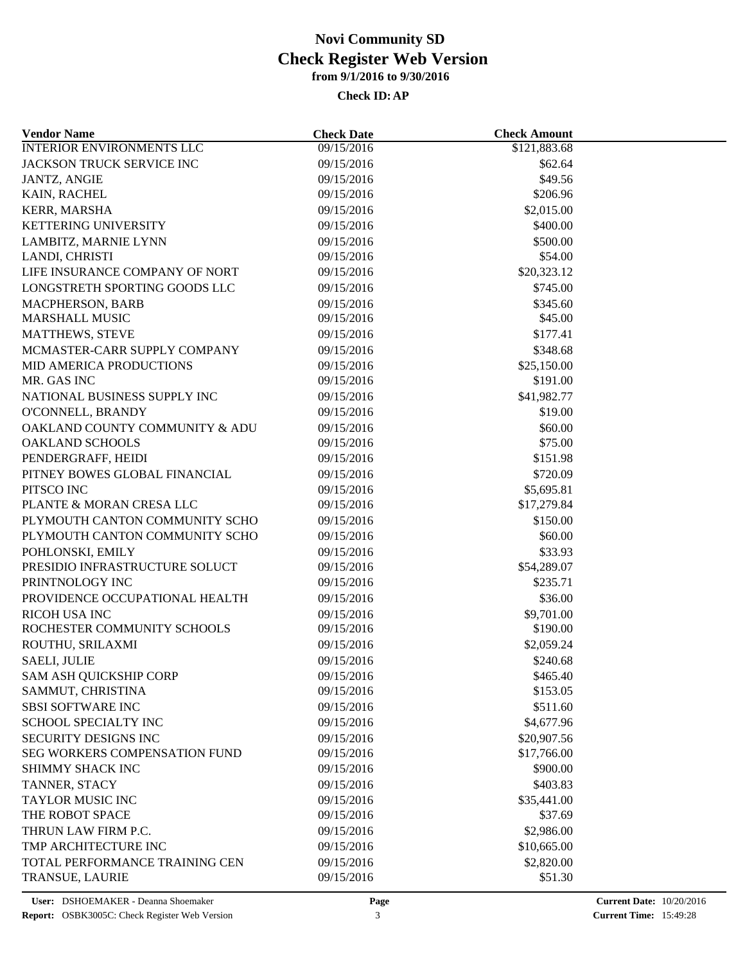| <b>Vendor Name</b>                     | <b>Check Date</b> | <b>Check Amount</b> |  |
|----------------------------------------|-------------------|---------------------|--|
| <b>INTERIOR ENVIRONMENTS LLC</b>       | 09/15/2016        | \$121,883.68        |  |
| JACKSON TRUCK SERVICE INC              | 09/15/2016        | \$62.64             |  |
| <b>JANTZ, ANGIE</b>                    | 09/15/2016        | \$49.56             |  |
| KAIN, RACHEL                           | 09/15/2016        | \$206.96            |  |
| <b>KERR, MARSHA</b>                    | 09/15/2016        | \$2,015.00          |  |
| KETTERING UNIVERSITY                   | 09/15/2016        | \$400.00            |  |
| LAMBITZ, MARNIE LYNN                   | 09/15/2016        | \$500.00            |  |
| LANDI, CHRISTI                         | 09/15/2016        | \$54.00             |  |
| LIFE INSURANCE COMPANY OF NORT         | 09/15/2016        | \$20,323.12         |  |
| LONGSTRETH SPORTING GOODS LLC          | 09/15/2016        | \$745.00            |  |
| <b>MACPHERSON, BARB</b>                | 09/15/2016        | \$345.60            |  |
| <b>MARSHALL MUSIC</b>                  | 09/15/2016        | \$45.00             |  |
| <b>MATTHEWS, STEVE</b>                 | 09/15/2016        | \$177.41            |  |
| MCMASTER-CARR SUPPLY COMPANY           | 09/15/2016        | \$348.68            |  |
| MID AMERICA PRODUCTIONS                | 09/15/2016        | \$25,150.00         |  |
| MR. GAS INC                            | 09/15/2016        | \$191.00            |  |
| NATIONAL BUSINESS SUPPLY INC           | 09/15/2016        | \$41,982.77         |  |
| O'CONNELL, BRANDY                      | 09/15/2016        | \$19.00             |  |
| OAKLAND COUNTY COMMUNITY & ADU         | 09/15/2016        | \$60.00             |  |
| OAKLAND SCHOOLS                        | 09/15/2016        | \$75.00             |  |
| PENDERGRAFF, HEIDI                     | 09/15/2016        | \$151.98            |  |
| PITNEY BOWES GLOBAL FINANCIAL          |                   | \$720.09            |  |
|                                        | 09/15/2016        |                     |  |
| PITSCO INC<br>PLANTE & MORAN CRESA LLC | 09/15/2016        | \$5,695.81          |  |
|                                        | 09/15/2016        | \$17,279.84         |  |
| PLYMOUTH CANTON COMMUNITY SCHO         | 09/15/2016        | \$150.00            |  |
| PLYMOUTH CANTON COMMUNITY SCHO         | 09/15/2016        | \$60.00             |  |
| POHLONSKI, EMILY                       | 09/15/2016        | \$33.93             |  |
| PRESIDIO INFRASTRUCTURE SOLUCT         | 09/15/2016        | \$54,289.07         |  |
| PRINTNOLOGY INC                        | 09/15/2016        | \$235.71            |  |
| PROVIDENCE OCCUPATIONAL HEALTH         | 09/15/2016        | \$36.00             |  |
| RICOH USA INC                          | 09/15/2016        | \$9,701.00          |  |
| ROCHESTER COMMUNITY SCHOOLS            | 09/15/2016        | \$190.00            |  |
| ROUTHU, SRILAXMI                       | 09/15/2016        | \$2,059.24          |  |
| <b>SAELI, JULIE</b>                    | 09/15/2016        | \$240.68            |  |
| SAM ASH QUICKSHIP CORP                 | 09/15/2016        | \$465.40            |  |
| SAMMUT, CHRISTINA                      | 09/15/2016        | \$153.05            |  |
| <b>SBSI SOFTWARE INC</b>               | 09/15/2016        | \$511.60            |  |
| SCHOOL SPECIALTY INC                   | 09/15/2016        | \$4,677.96          |  |
| SECURITY DESIGNS INC                   | 09/15/2016        | \$20,907.56         |  |
| <b>SEG WORKERS COMPENSATION FUND</b>   | 09/15/2016        | \$17,766.00         |  |
| SHIMMY SHACK INC                       | 09/15/2016        | \$900.00            |  |
| TANNER, STACY                          | 09/15/2016        | \$403.83            |  |
| TAYLOR MUSIC INC                       | 09/15/2016        | \$35,441.00         |  |
| THE ROBOT SPACE                        | 09/15/2016        | \$37.69             |  |
| THRUN LAW FIRM P.C.                    | 09/15/2016        | \$2,986.00          |  |
| TMP ARCHITECTURE INC                   | 09/15/2016        | \$10,665.00         |  |
| TOTAL PERFORMANCE TRAINING CEN         | 09/15/2016        | \$2,820.00          |  |
| TRANSUE, LAURIE                        | 09/15/2016        | \$51.30             |  |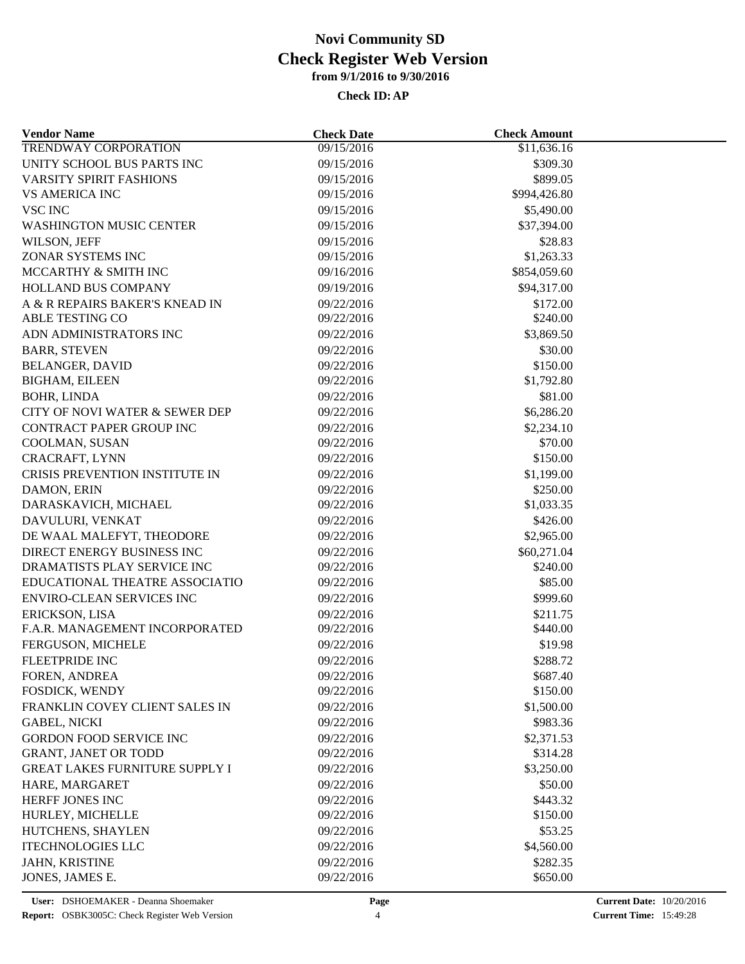| <b>Vendor Name</b>                    | <b>Check Date</b>        | <b>Check Amount</b>  |  |
|---------------------------------------|--------------------------|----------------------|--|
| <b>TRENDWAY CORPORATION</b>           | 09/15/2016               | \$11,636.16          |  |
| UNITY SCHOOL BUS PARTS INC            | 09/15/2016               | \$309.30             |  |
| <b>VARSITY SPIRIT FASHIONS</b>        | 09/15/2016               | \$899.05             |  |
| <b>VS AMERICA INC</b>                 | 09/15/2016               | \$994,426.80         |  |
| <b>VSC INC</b>                        | 09/15/2016               | \$5,490.00           |  |
| <b>WASHINGTON MUSIC CENTER</b>        | 09/15/2016               | \$37,394.00          |  |
| WILSON, JEFF                          | 09/15/2016               | \$28.83              |  |
| ZONAR SYSTEMS INC                     | 09/15/2016               | \$1,263.33           |  |
| MCCARTHY & SMITH INC                  | 09/16/2016               | \$854,059.60         |  |
| <b>HOLLAND BUS COMPANY</b>            | 09/19/2016               | \$94,317.00          |  |
| A & R REPAIRS BAKER'S KNEAD IN        | 09/22/2016               | \$172.00             |  |
| ABLE TESTING CO                       | 09/22/2016               | \$240.00             |  |
| ADN ADMINISTRATORS INC                | 09/22/2016               | \$3,869.50           |  |
| <b>BARR, STEVEN</b>                   | 09/22/2016               | \$30.00              |  |
| <b>BELANGER, DAVID</b>                | 09/22/2016               | \$150.00             |  |
| <b>BIGHAM, EILEEN</b>                 | 09/22/2016               | \$1,792.80           |  |
| <b>BOHR, LINDA</b>                    | 09/22/2016               | \$81.00              |  |
| CITY OF NOVI WATER & SEWER DEP        | 09/22/2016               | \$6,286.20           |  |
| <b>CONTRACT PAPER GROUP INC</b>       | 09/22/2016               | \$2,234.10           |  |
| COOLMAN, SUSAN                        | 09/22/2016               | \$70.00              |  |
| CRACRAFT, LYNN                        | 09/22/2016               | \$150.00             |  |
| CRISIS PREVENTION INSTITUTE IN        | 09/22/2016               | \$1,199.00           |  |
| DAMON, ERIN                           | 09/22/2016               | \$250.00             |  |
| DARASKAVICH, MICHAEL                  | 09/22/2016               | \$1,033.35           |  |
| DAVULURI, VENKAT                      | 09/22/2016               | \$426.00             |  |
| DE WAAL MALEFYT, THEODORE             | 09/22/2016               | \$2,965.00           |  |
| DIRECT ENERGY BUSINESS INC            | 09/22/2016               | \$60,271.04          |  |
| DRAMATISTS PLAY SERVICE INC           | 09/22/2016               | \$240.00             |  |
| EDUCATIONAL THEATRE ASSOCIATIO        | 09/22/2016               | \$85.00              |  |
| <b>ENVIRO-CLEAN SERVICES INC</b>      | 09/22/2016               | \$999.60             |  |
| ERICKSON, LISA                        | 09/22/2016               |                      |  |
| F.A.R. MANAGEMENT INCORPORATED        | 09/22/2016               | \$211.75<br>\$440.00 |  |
| FERGUSON, MICHELE                     | 09/22/2016               | \$19.98              |  |
| FLEETPRIDE INC                        |                          | \$288.72             |  |
|                                       | 09/22/2016               |                      |  |
| FOREN, ANDREA<br>FOSDICK, WENDY       | 09/22/2016<br>09/22/2016 | \$687.40<br>\$150.00 |  |
| FRANKLIN COVEY CLIENT SALES IN        |                          |                      |  |
|                                       | 09/22/2016               | \$1,500.00           |  |
| <b>GABEL, NICKI</b>                   | 09/22/2016               | \$983.36             |  |
| <b>GORDON FOOD SERVICE INC</b>        | 09/22/2016               | \$2,371.53           |  |
| <b>GRANT, JANET OR TODD</b>           | 09/22/2016               | \$314.28             |  |
| <b>GREAT LAKES FURNITURE SUPPLY I</b> | 09/22/2016               | \$3,250.00           |  |
| HARE, MARGARET                        | 09/22/2016               | \$50.00              |  |
| HERFF JONES INC                       | 09/22/2016               | \$443.32             |  |
| HURLEY, MICHELLE                      | 09/22/2016               | \$150.00             |  |
| HUTCHENS, SHAYLEN                     | 09/22/2016               | \$53.25              |  |
| <b>ITECHNOLOGIES LLC</b>              | 09/22/2016               | \$4,560.00           |  |
| JAHN, KRISTINE                        | 09/22/2016               | \$282.35             |  |
| JONES, JAMES E.                       | 09/22/2016               | \$650.00             |  |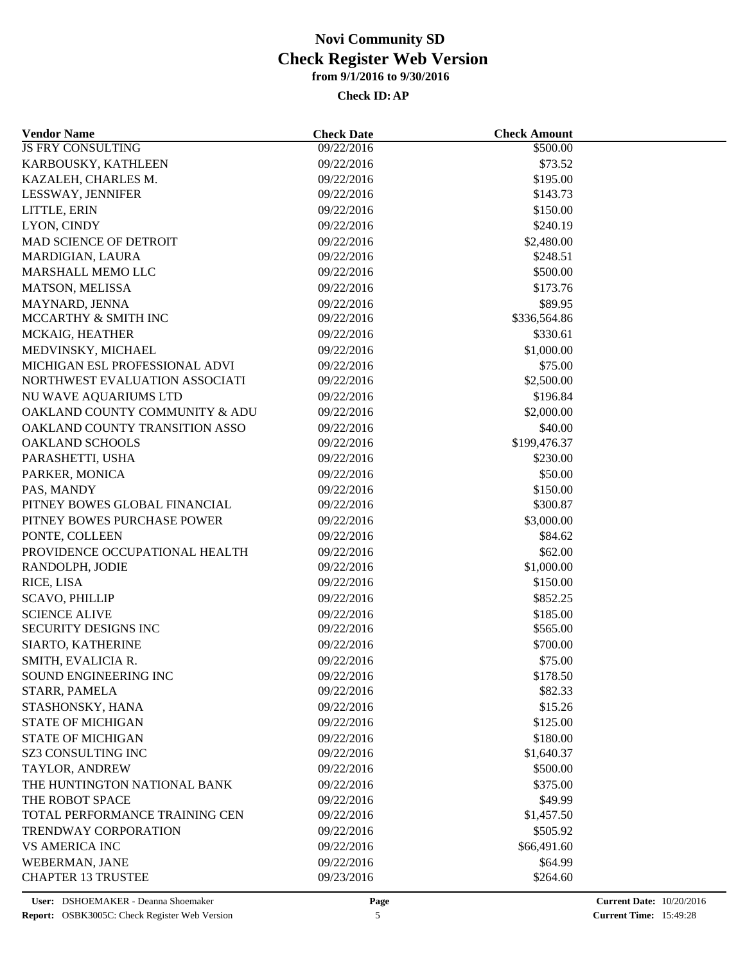| <b>Vendor Name</b>             | <b>Check Date</b> | <b>Check Amount</b>  |  |
|--------------------------------|-------------------|----------------------|--|
| <b>JS FRY CONSULTING</b>       | 09/22/2016        | $\overline{$}500.00$ |  |
| KARBOUSKY, KATHLEEN            | 09/22/2016        | \$73.52              |  |
| KAZALEH, CHARLES M.            | 09/22/2016        | \$195.00             |  |
| LESSWAY, JENNIFER              | 09/22/2016        | \$143.73             |  |
| LITTLE, ERIN                   | 09/22/2016        | \$150.00             |  |
| LYON, CINDY                    | 09/22/2016        | \$240.19             |  |
| MAD SCIENCE OF DETROIT         | 09/22/2016        | \$2,480.00           |  |
| MARDIGIAN, LAURA               | 09/22/2016        | \$248.51             |  |
| MARSHALL MEMO LLC              | 09/22/2016        | \$500.00             |  |
| MATSON, MELISSA                | 09/22/2016        | \$173.76             |  |
| MAYNARD, JENNA                 | 09/22/2016        | \$89.95              |  |
| MCCARTHY & SMITH INC           | 09/22/2016        | \$336,564.86         |  |
| MCKAIG, HEATHER                | 09/22/2016        | \$330.61             |  |
| MEDVINSKY, MICHAEL             | 09/22/2016        | \$1,000.00           |  |
| MICHIGAN ESL PROFESSIONAL ADVI | 09/22/2016        | \$75.00              |  |
| NORTHWEST EVALUATION ASSOCIATI | 09/22/2016        | \$2,500.00           |  |
| NU WAVE AQUARIUMS LTD          | 09/22/2016        | \$196.84             |  |
| OAKLAND COUNTY COMMUNITY & ADU | 09/22/2016        | \$2,000.00           |  |
| OAKLAND COUNTY TRANSITION ASSO | 09/22/2016        | \$40.00              |  |
| OAKLAND SCHOOLS                | 09/22/2016        | \$199,476.37         |  |
| PARASHETTI, USHA               | 09/22/2016        | \$230.00             |  |
| PARKER, MONICA                 | 09/22/2016        | \$50.00              |  |
| PAS, MANDY                     | 09/22/2016        | \$150.00             |  |
| PITNEY BOWES GLOBAL FINANCIAL  | 09/22/2016        | \$300.87             |  |
| PITNEY BOWES PURCHASE POWER    | 09/22/2016        | \$3,000.00           |  |
| PONTE, COLLEEN                 | 09/22/2016        | \$84.62              |  |
| PROVIDENCE OCCUPATIONAL HEALTH | 09/22/2016        | \$62.00              |  |
| RANDOLPH, JODIE                | 09/22/2016        | \$1,000.00           |  |
| RICE, LISA                     | 09/22/2016        | \$150.00             |  |
| <b>SCAVO, PHILLIP</b>          | 09/22/2016        | \$852.25             |  |
| <b>SCIENCE ALIVE</b>           | 09/22/2016        | \$185.00             |  |
| SECURITY DESIGNS INC           | 09/22/2016        | \$565.00             |  |
| SIARTO, KATHERINE              | 09/22/2016        | \$700.00             |  |
| SMITH, EVALICIA R.             | 09/22/2016        | \$75.00              |  |
| SOUND ENGINEERING INC          | 09/22/2016        | \$178.50             |  |
| STARR, PAMELA                  | 09/22/2016        | \$82.33              |  |
| STASHONSKY, HANA               | 09/22/2016        | \$15.26              |  |
| <b>STATE OF MICHIGAN</b>       | 09/22/2016        | \$125.00             |  |
| <b>STATE OF MICHIGAN</b>       |                   |                      |  |
| SZ3 CONSULTING INC             | 09/22/2016        | \$180.00             |  |
|                                | 09/22/2016        | \$1,640.37           |  |
| TAYLOR, ANDREW                 | 09/22/2016        | \$500.00             |  |
| THE HUNTINGTON NATIONAL BANK   | 09/22/2016        | \$375.00             |  |
| THE ROBOT SPACE                | 09/22/2016        | \$49.99              |  |
| TOTAL PERFORMANCE TRAINING CEN | 09/22/2016        | \$1,457.50           |  |
| TRENDWAY CORPORATION           | 09/22/2016        | \$505.92             |  |
| <b>VS AMERICA INC</b>          | 09/22/2016        | \$66,491.60          |  |
| WEBERMAN, JANE                 | 09/22/2016        | \$64.99              |  |
| <b>CHAPTER 13 TRUSTEE</b>      | 09/23/2016        | \$264.60             |  |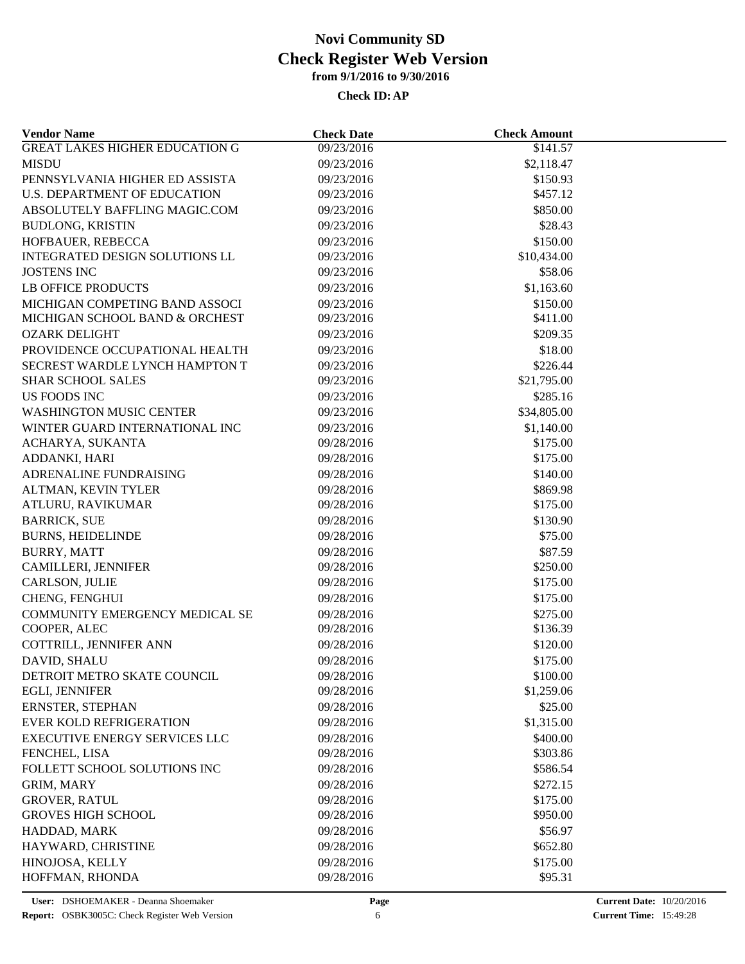| <b>GREAT LAKES HIGHER EDUCATION G</b><br>09/23/2016<br>\$141.57<br><b>MISDU</b><br>09/23/2016<br>\$2,118.47<br>PENNSYLVANIA HIGHER ED ASSISTA<br>09/23/2016<br>\$150.93<br>\$457.12<br>U.S. DEPARTMENT OF EDUCATION<br>09/23/2016<br>ABSOLUTELY BAFFLING MAGIC.COM<br>09/23/2016<br>\$850.00<br>\$28.43<br><b>BUDLONG, KRISTIN</b><br>09/23/2016<br>HOFBAUER, REBECCA<br>09/23/2016<br>\$150.00<br>\$10,434.00<br>INTEGRATED DESIGN SOLUTIONS LL<br>09/23/2016<br>\$58.06<br><b>JOSTENS INC</b><br>09/23/2016<br><b>LB OFFICE PRODUCTS</b><br>\$1,163.60<br>09/23/2016<br>MICHIGAN COMPETING BAND ASSOCI<br>09/23/2016<br>\$150.00<br>MICHIGAN SCHOOL BAND & ORCHEST<br>09/23/2016<br>\$411.00<br>\$209.35<br><b>OZARK DELIGHT</b><br>09/23/2016 |  |
|--------------------------------------------------------------------------------------------------------------------------------------------------------------------------------------------------------------------------------------------------------------------------------------------------------------------------------------------------------------------------------------------------------------------------------------------------------------------------------------------------------------------------------------------------------------------------------------------------------------------------------------------------------------------------------------------------------------------------------------------------|--|
|                                                                                                                                                                                                                                                                                                                                                                                                                                                                                                                                                                                                                                                                                                                                                  |  |
|                                                                                                                                                                                                                                                                                                                                                                                                                                                                                                                                                                                                                                                                                                                                                  |  |
|                                                                                                                                                                                                                                                                                                                                                                                                                                                                                                                                                                                                                                                                                                                                                  |  |
|                                                                                                                                                                                                                                                                                                                                                                                                                                                                                                                                                                                                                                                                                                                                                  |  |
|                                                                                                                                                                                                                                                                                                                                                                                                                                                                                                                                                                                                                                                                                                                                                  |  |
|                                                                                                                                                                                                                                                                                                                                                                                                                                                                                                                                                                                                                                                                                                                                                  |  |
|                                                                                                                                                                                                                                                                                                                                                                                                                                                                                                                                                                                                                                                                                                                                                  |  |
|                                                                                                                                                                                                                                                                                                                                                                                                                                                                                                                                                                                                                                                                                                                                                  |  |
|                                                                                                                                                                                                                                                                                                                                                                                                                                                                                                                                                                                                                                                                                                                                                  |  |
|                                                                                                                                                                                                                                                                                                                                                                                                                                                                                                                                                                                                                                                                                                                                                  |  |
|                                                                                                                                                                                                                                                                                                                                                                                                                                                                                                                                                                                                                                                                                                                                                  |  |
|                                                                                                                                                                                                                                                                                                                                                                                                                                                                                                                                                                                                                                                                                                                                                  |  |
|                                                                                                                                                                                                                                                                                                                                                                                                                                                                                                                                                                                                                                                                                                                                                  |  |
| PROVIDENCE OCCUPATIONAL HEALTH<br>09/23/2016<br>\$18.00                                                                                                                                                                                                                                                                                                                                                                                                                                                                                                                                                                                                                                                                                          |  |
| SECREST WARDLE LYNCH HAMPTON T<br>09/23/2016<br>\$226.44                                                                                                                                                                                                                                                                                                                                                                                                                                                                                                                                                                                                                                                                                         |  |
| <b>SHAR SCHOOL SALES</b><br>09/23/2016<br>\$21,795.00                                                                                                                                                                                                                                                                                                                                                                                                                                                                                                                                                                                                                                                                                            |  |
| \$285.16<br>US FOODS INC<br>09/23/2016                                                                                                                                                                                                                                                                                                                                                                                                                                                                                                                                                                                                                                                                                                           |  |
| \$34,805.00<br><b>WASHINGTON MUSIC CENTER</b><br>09/23/2016                                                                                                                                                                                                                                                                                                                                                                                                                                                                                                                                                                                                                                                                                      |  |
| 09/23/2016<br>\$1,140.00<br>WINTER GUARD INTERNATIONAL INC                                                                                                                                                                                                                                                                                                                                                                                                                                                                                                                                                                                                                                                                                       |  |
| 09/28/2016<br>\$175.00<br>ACHARYA, SUKANTA                                                                                                                                                                                                                                                                                                                                                                                                                                                                                                                                                                                                                                                                                                       |  |
| ADDANKI, HARI<br>09/28/2016<br>\$175.00                                                                                                                                                                                                                                                                                                                                                                                                                                                                                                                                                                                                                                                                                                          |  |
| ADRENALINE FUNDRAISING<br>09/28/2016<br>\$140.00                                                                                                                                                                                                                                                                                                                                                                                                                                                                                                                                                                                                                                                                                                 |  |
|                                                                                                                                                                                                                                                                                                                                                                                                                                                                                                                                                                                                                                                                                                                                                  |  |
| ALTMAN, KEVIN TYLER<br>09/28/2016<br>\$869.98<br>\$175.00                                                                                                                                                                                                                                                                                                                                                                                                                                                                                                                                                                                                                                                                                        |  |
| ATLURU, RAVIKUMAR<br>09/28/2016                                                                                                                                                                                                                                                                                                                                                                                                                                                                                                                                                                                                                                                                                                                  |  |
| \$130.90<br><b>BARRICK, SUE</b><br>09/28/2016                                                                                                                                                                                                                                                                                                                                                                                                                                                                                                                                                                                                                                                                                                    |  |
| <b>BURNS, HEIDELINDE</b><br>09/28/2016<br>\$75.00                                                                                                                                                                                                                                                                                                                                                                                                                                                                                                                                                                                                                                                                                                |  |
| <b>BURRY, MATT</b><br>09/28/2016<br>\$87.59                                                                                                                                                                                                                                                                                                                                                                                                                                                                                                                                                                                                                                                                                                      |  |
| CAMILLERI, JENNIFER<br>09/28/2016<br>\$250.00                                                                                                                                                                                                                                                                                                                                                                                                                                                                                                                                                                                                                                                                                                    |  |
| CARLSON, JULIE<br>09/28/2016<br>\$175.00                                                                                                                                                                                                                                                                                                                                                                                                                                                                                                                                                                                                                                                                                                         |  |
| CHENG, FENGHUI<br>09/28/2016<br>\$175.00                                                                                                                                                                                                                                                                                                                                                                                                                                                                                                                                                                                                                                                                                                         |  |
| COMMUNITY EMERGENCY MEDICAL SE<br>09/28/2016<br>\$275.00                                                                                                                                                                                                                                                                                                                                                                                                                                                                                                                                                                                                                                                                                         |  |
| COOPER, ALEC<br>09/28/2016<br>\$136.39                                                                                                                                                                                                                                                                                                                                                                                                                                                                                                                                                                                                                                                                                                           |  |
| COTTRILL, JENNIFER ANN<br>09/28/2016<br>\$120.00                                                                                                                                                                                                                                                                                                                                                                                                                                                                                                                                                                                                                                                                                                 |  |
| \$175.00<br>DAVID, SHALU<br>09/28/2016                                                                                                                                                                                                                                                                                                                                                                                                                                                                                                                                                                                                                                                                                                           |  |
| DETROIT METRO SKATE COUNCIL<br>\$100.00<br>09/28/2016                                                                                                                                                                                                                                                                                                                                                                                                                                                                                                                                                                                                                                                                                            |  |
| EGLI, JENNIFER<br>09/28/2016<br>\$1,259.06                                                                                                                                                                                                                                                                                                                                                                                                                                                                                                                                                                                                                                                                                                       |  |
| ERNSTER, STEPHAN<br>09/28/2016<br>\$25.00                                                                                                                                                                                                                                                                                                                                                                                                                                                                                                                                                                                                                                                                                                        |  |
| <b>EVER KOLD REFRIGERATION</b><br>09/28/2016<br>\$1,315.00                                                                                                                                                                                                                                                                                                                                                                                                                                                                                                                                                                                                                                                                                       |  |
| <b>EXECUTIVE ENERGY SERVICES LLC</b><br>09/28/2016<br>\$400.00                                                                                                                                                                                                                                                                                                                                                                                                                                                                                                                                                                                                                                                                                   |  |
| \$303.86<br>FENCHEL, LISA<br>09/28/2016                                                                                                                                                                                                                                                                                                                                                                                                                                                                                                                                                                                                                                                                                                          |  |
| FOLLETT SCHOOL SOLUTIONS INC<br>\$586.54<br>09/28/2016                                                                                                                                                                                                                                                                                                                                                                                                                                                                                                                                                                                                                                                                                           |  |
| GRIM, MARY<br>09/28/2016<br>\$272.15                                                                                                                                                                                                                                                                                                                                                                                                                                                                                                                                                                                                                                                                                                             |  |
| <b>GROVER, RATUL</b><br>09/28/2016<br>\$175.00                                                                                                                                                                                                                                                                                                                                                                                                                                                                                                                                                                                                                                                                                                   |  |
| <b>GROVES HIGH SCHOOL</b><br>09/28/2016<br>\$950.00                                                                                                                                                                                                                                                                                                                                                                                                                                                                                                                                                                                                                                                                                              |  |
| HADDAD, MARK<br>\$56.97<br>09/28/2016                                                                                                                                                                                                                                                                                                                                                                                                                                                                                                                                                                                                                                                                                                            |  |
| HAYWARD, CHRISTINE<br>09/28/2016<br>\$652.80                                                                                                                                                                                                                                                                                                                                                                                                                                                                                                                                                                                                                                                                                                     |  |
| HINOJOSA, KELLY<br>09/28/2016<br>\$175.00                                                                                                                                                                                                                                                                                                                                                                                                                                                                                                                                                                                                                                                                                                        |  |
| HOFFMAN, RHONDA<br>09/28/2016<br>\$95.31                                                                                                                                                                                                                                                                                                                                                                                                                                                                                                                                                                                                                                                                                                         |  |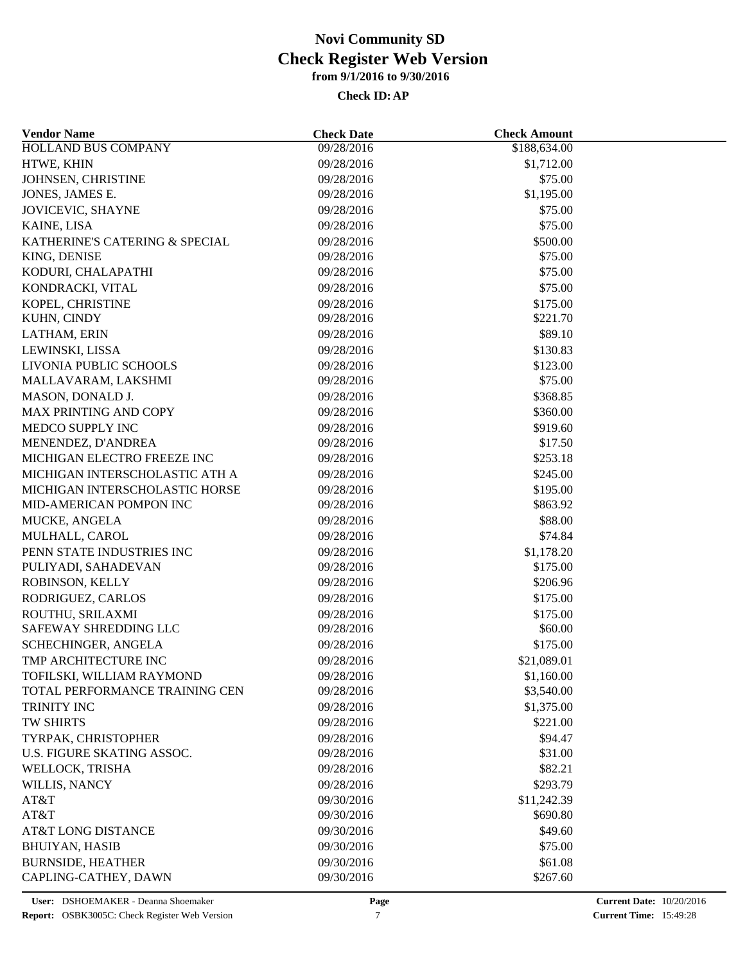| <b>Vendor Name</b>             | <b>Check Date</b> | <b>Check Amount</b> |  |
|--------------------------------|-------------------|---------------------|--|
| HOLLAND BUS COMPANY            | 09/28/2016        | \$188,634.00        |  |
| HTWE, KHIN                     | 09/28/2016        | \$1,712.00          |  |
| JOHNSEN, CHRISTINE             | 09/28/2016        | \$75.00             |  |
| JONES, JAMES E.                | 09/28/2016        | \$1,195.00          |  |
| JOVICEVIC, SHAYNE              | 09/28/2016        | \$75.00             |  |
| KAINE, LISA                    | 09/28/2016        | \$75.00             |  |
| KATHERINE'S CATERING & SPECIAL | 09/28/2016        | \$500.00            |  |
| KING, DENISE                   | 09/28/2016        | \$75.00             |  |
| KODURI, CHALAPATHI             | 09/28/2016        | \$75.00             |  |
| KONDRACKI, VITAL               | 09/28/2016        | \$75.00             |  |
| KOPEL, CHRISTINE               | 09/28/2016        | \$175.00            |  |
| KUHN, CINDY                    | 09/28/2016        | \$221.70            |  |
| LATHAM, ERIN                   | 09/28/2016        | \$89.10             |  |
| LEWINSKI, LISSA                | 09/28/2016        | \$130.83            |  |
| LIVONIA PUBLIC SCHOOLS         | 09/28/2016        | \$123.00            |  |
| MALLAVARAM, LAKSHMI            | 09/28/2016        | \$75.00             |  |
| MASON, DONALD J.               | 09/28/2016        | \$368.85            |  |
| MAX PRINTING AND COPY          | 09/28/2016        | \$360.00            |  |
|                                | 09/28/2016        |                     |  |
| MEDCO SUPPLY INC               |                   | \$919.60<br>\$17.50 |  |
| MENENDEZ, D'ANDREA             | 09/28/2016        |                     |  |
| MICHIGAN ELECTRO FREEZE INC    | 09/28/2016        | \$253.18            |  |
| MICHIGAN INTERSCHOLASTIC ATH A | 09/28/2016        | \$245.00            |  |
| MICHIGAN INTERSCHOLASTIC HORSE | 09/28/2016        | \$195.00            |  |
| MID-AMERICAN POMPON INC        | 09/28/2016        | \$863.92            |  |
| MUCKE, ANGELA                  | 09/28/2016        | \$88.00             |  |
| MULHALL, CAROL                 | 09/28/2016        | \$74.84             |  |
| PENN STATE INDUSTRIES INC      | 09/28/2016        | \$1,178.20          |  |
| PULIYADI, SAHADEVAN            | 09/28/2016        | \$175.00            |  |
| ROBINSON, KELLY                | 09/28/2016        | \$206.96            |  |
| RODRIGUEZ, CARLOS              | 09/28/2016        | \$175.00            |  |
| ROUTHU, SRILAXMI               | 09/28/2016        | \$175.00            |  |
| SAFEWAY SHREDDING LLC          | 09/28/2016        | \$60.00             |  |
| SCHECHINGER, ANGELA            | 09/28/2016        | \$175.00            |  |
| TMP ARCHITECTURE INC           | 09/28/2016        | \$21,089.01         |  |
| TOFILSKI, WILLIAM RAYMOND      | 09/28/2016        | \$1,160.00          |  |
| TOTAL PERFORMANCE TRAINING CEN | 09/28/2016        | \$3,540.00          |  |
| TRINITY INC                    | 09/28/2016        | \$1,375.00          |  |
| TW SHIRTS                      | 09/28/2016        | \$221.00            |  |
| TYRPAK, CHRISTOPHER            | 09/28/2016        | \$94.47             |  |
| U.S. FIGURE SKATING ASSOC.     | 09/28/2016        | \$31.00             |  |
| WELLOCK, TRISHA                | 09/28/2016        | \$82.21             |  |
| WILLIS, NANCY                  | 09/28/2016        | \$293.79            |  |
| AT&T                           | 09/30/2016        | \$11,242.39         |  |
| AT&T                           | 09/30/2016        | \$690.80            |  |
| <b>AT&amp;T LONG DISTANCE</b>  | 09/30/2016        | \$49.60             |  |
| <b>BHUIYAN, HASIB</b>          | 09/30/2016        | \$75.00             |  |
| <b>BURNSIDE, HEATHER</b>       | 09/30/2016        | \$61.08             |  |
| CAPLING-CATHEY, DAWN           | 09/30/2016        | \$267.60            |  |
|                                |                   |                     |  |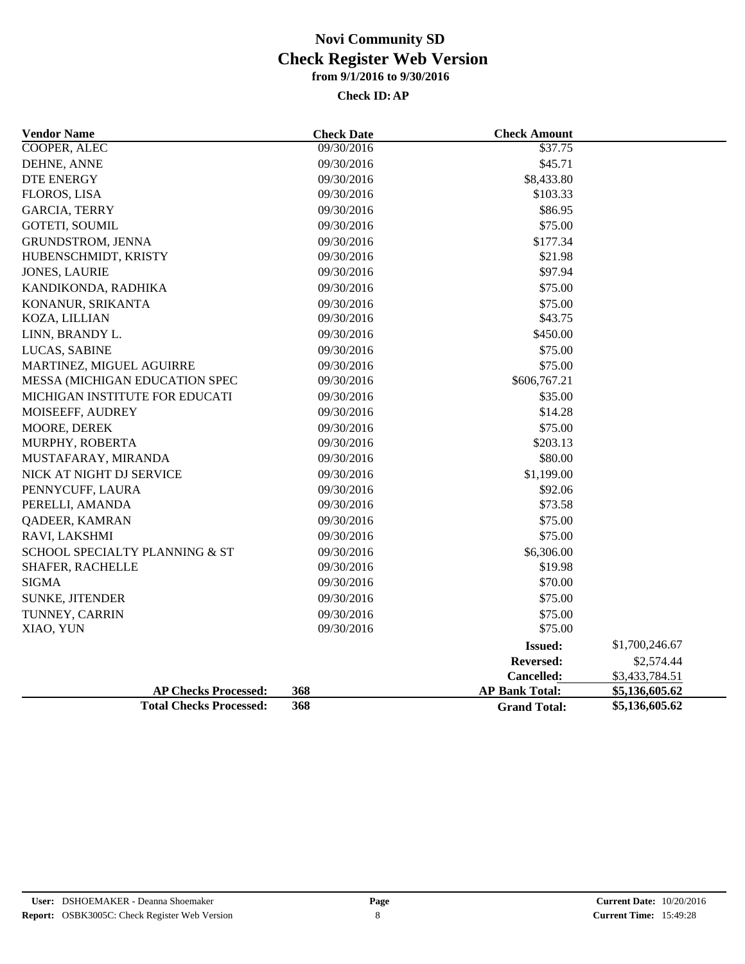| <b>Vendor Name</b>             | <b>Check Date</b> | <b>Check Amount</b>   |                |
|--------------------------------|-------------------|-----------------------|----------------|
| <b>COOPER, ALEC</b>            | 09/30/2016        | \$37.75               |                |
| DEHNE, ANNE                    | 09/30/2016        | \$45.71               |                |
| <b>DTE ENERGY</b>              | 09/30/2016        | \$8,433.80            |                |
| <b>FLOROS, LISA</b>            | 09/30/2016        | \$103.33              |                |
| <b>GARCIA, TERRY</b>           | 09/30/2016        | \$86.95               |                |
| <b>GOTETI, SOUMIL</b>          | 09/30/2016        | \$75.00               |                |
| GRUNDSTROM, JENNA              | 09/30/2016        | \$177.34              |                |
| HUBENSCHMIDT, KRISTY           | 09/30/2016        | \$21.98               |                |
| <b>JONES, LAURIE</b>           | 09/30/2016        | \$97.94               |                |
| KANDIKONDA, RADHIKA            | 09/30/2016        | \$75.00               |                |
| KONANUR, SRIKANTA              | 09/30/2016        | \$75.00               |                |
| KOZA, LILLIAN                  | 09/30/2016        | \$43.75               |                |
| LINN, BRANDY L.                | 09/30/2016        | \$450.00              |                |
| LUCAS, SABINE                  | 09/30/2016        | \$75.00               |                |
| MARTINEZ, MIGUEL AGUIRRE       | 09/30/2016        | \$75.00               |                |
| MESSA (MICHIGAN EDUCATION SPEC | 09/30/2016        | \$606,767.21          |                |
| MICHIGAN INSTITUTE FOR EDUCATI | 09/30/2016        | \$35.00               |                |
| MOISEEFF, AUDREY               | 09/30/2016        | \$14.28               |                |
| MOORE, DEREK                   | 09/30/2016        | \$75.00               |                |
| MURPHY, ROBERTA                | 09/30/2016        | \$203.13              |                |
| MUSTAFARAY, MIRANDA            | 09/30/2016        | \$80.00               |                |
| NICK AT NIGHT DJ SERVICE       | 09/30/2016        | \$1,199.00            |                |
| PENNYCUFF, LAURA               | 09/30/2016        | \$92.06               |                |
| PERELLI, AMANDA                | 09/30/2016        | \$73.58               |                |
| <b>QADEER, KAMRAN</b>          | 09/30/2016        | \$75.00               |                |
| RAVI, LAKSHMI                  | 09/30/2016        | \$75.00               |                |
| SCHOOL SPECIALTY PLANNING & ST | 09/30/2016        | \$6,306.00            |                |
| SHAFER, RACHELLE               | 09/30/2016        | \$19.98               |                |
| <b>SIGMA</b>                   | 09/30/2016        | \$70.00               |                |
| <b>SUNKE, JITENDER</b>         | 09/30/2016        | \$75.00               |                |
| TUNNEY, CARRIN                 | 09/30/2016        | \$75.00               |                |
| XIAO, YUN                      | 09/30/2016        | \$75.00               |                |
|                                |                   | <b>Issued:</b>        | \$1,700,246.67 |
|                                |                   | <b>Reversed:</b>      | \$2,574.44     |
|                                |                   | Cancelled:            | \$3,433,784.51 |
| <b>AP Checks Processed:</b>    | 368               | <b>AP Bank Total:</b> | \$5,136,605.62 |
| <b>Total Checks Processed:</b> | 368               | <b>Grand Total:</b>   | \$5,136,605.62 |